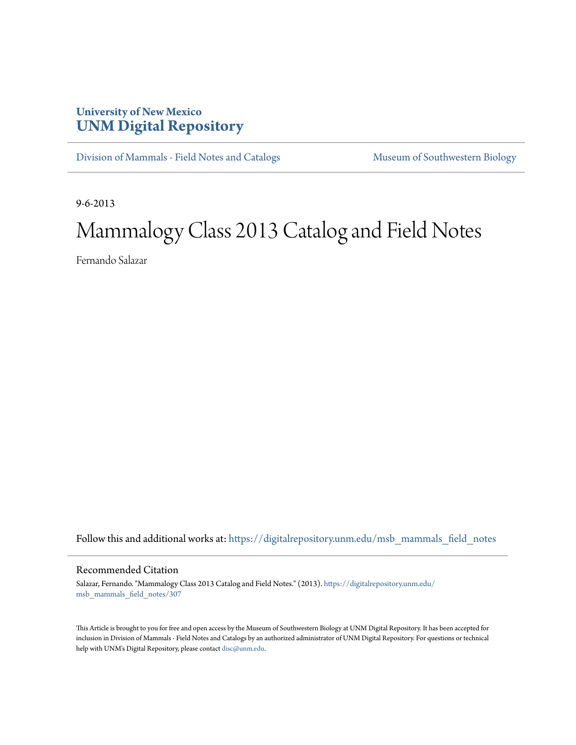## **University of New Mexico [UNM Digital Repository](https://digitalrepository.unm.edu?utm_source=digitalrepository.unm.edu%2Fmsb_mammals_field_notes%2F307&utm_medium=PDF&utm_campaign=PDFCoverPages)**

[Division of Mammals - Field Notes and Catalogs](https://digitalrepository.unm.edu/msb_mammals_field_notes?utm_source=digitalrepository.unm.edu%2Fmsb_mammals_field_notes%2F307&utm_medium=PDF&utm_campaign=PDFCoverPages) [Museum of Southwestern Biology](https://digitalrepository.unm.edu/msb?utm_source=digitalrepository.unm.edu%2Fmsb_mammals_field_notes%2F307&utm_medium=PDF&utm_campaign=PDFCoverPages)

9-6-2013

## Mammalogy Class 2013 Catalog and Field Notes

Fernando Salazar

Follow this and additional works at: [https://digitalrepository.unm.edu/msb\\_mammals\\_field\\_notes](https://digitalrepository.unm.edu/msb_mammals_field_notes?utm_source=digitalrepository.unm.edu%2Fmsb_mammals_field_notes%2F307&utm_medium=PDF&utm_campaign=PDFCoverPages)

## Recommended Citation

Salazar, Fernando. "Mammalogy Class 2013 Catalog and Field Notes." (2013). [https://digitalrepository.unm.edu/](https://digitalrepository.unm.edu/msb_mammals_field_notes/307?utm_source=digitalrepository.unm.edu%2Fmsb_mammals_field_notes%2F307&utm_medium=PDF&utm_campaign=PDFCoverPages) [msb\\_mammals\\_field\\_notes/307](https://digitalrepository.unm.edu/msb_mammals_field_notes/307?utm_source=digitalrepository.unm.edu%2Fmsb_mammals_field_notes%2F307&utm_medium=PDF&utm_campaign=PDFCoverPages)

This Article is brought to you for free and open access by the Museum of Southwestern Biology at UNM Digital Repository. It has been accepted for inclusion in Division of Mammals - Field Notes and Catalogs by an authorized administrator of UNM Digital Repository. For questions or technical help with UNM's Digital Repository, please contact [disc@unm.edu](mailto:disc@unm.edu).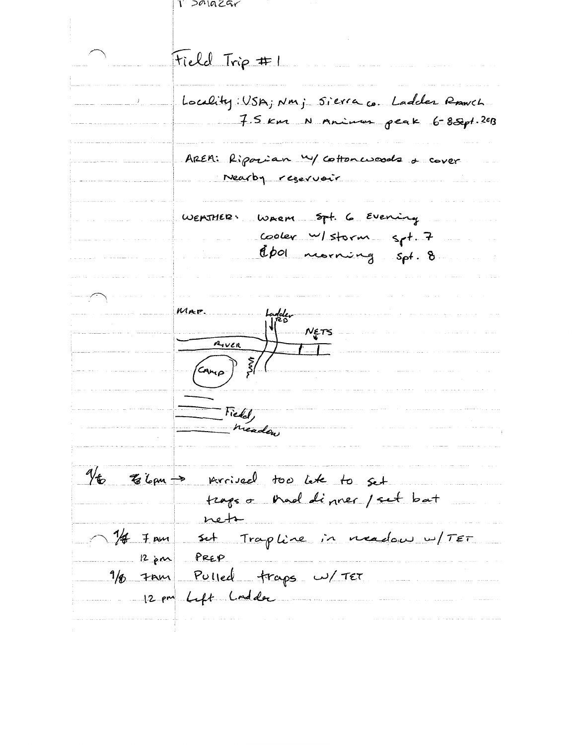| salazar                                                              |
|----------------------------------------------------------------------|
|                                                                      |
|                                                                      |
| Field Trip #1                                                        |
|                                                                      |
| Locality: USA; Nm; Sierra co. Ladder Ranch                           |
| 7.5 Km N Animus peak 6-8 Sept. 2013                                  |
|                                                                      |
| AREM: Riporian W/ Cottonwoods a cover                                |
| Nearby reservoir                                                     |
|                                                                      |
| WEATHER WARM 5pt. 6 Evening                                          |
| Cooler w/storm spt. 7<br>Cooler worning spt. 8                       |
|                                                                      |
|                                                                      |
|                                                                      |
| MAP.<br>لويوا                                                        |
| NETS                                                                 |
| $\frac{A_{\nu c}R}{A_{\nu c}}$                                       |
| $\left(\frac{c_{\mathsf{A}\mathsf{A}\mathsf{A}}}{\sigma}\right)^{3}$ |
|                                                                      |
| riedd,                                                               |
| Meadow                                                               |
|                                                                      |
|                                                                      |
| 16 Elam -> Arrived too let to set                                    |
| traps o thead dinner / set bat                                       |
| net                                                                  |
| $1/4$ 7 mm set Trapline in meadow w/ TET                             |
| 12 pm PREP                                                           |
| 1/8 7 mm Pulled traps w/ TET                                         |
| 12 pm Lift Lodder                                                    |
|                                                                      |
|                                                                      |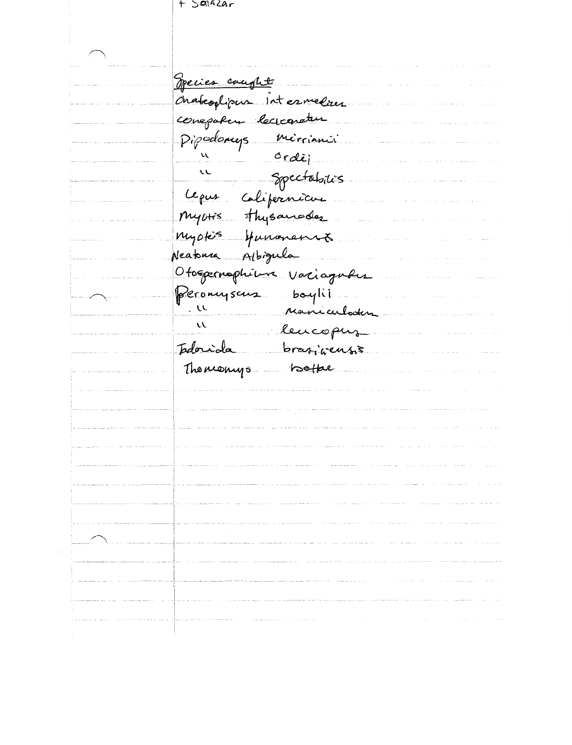t Saifzar

<u> Opecies</u> cought Chabeoptipus intermedius conepation lecropetur Pipodomys mirrianii  $ordij$  $\mathcal{U}$  $\mathcal{L}$ Spectabilis Lepus Colifernicus Myoris thysaneder myokis Hunaneniz. Albigula Neatonna Ofospernophilus variaguhes Peronysaus boylii  $\sim$ Maniculater  $\mu$ lencopus Isdorida brasineusis Thomas hotter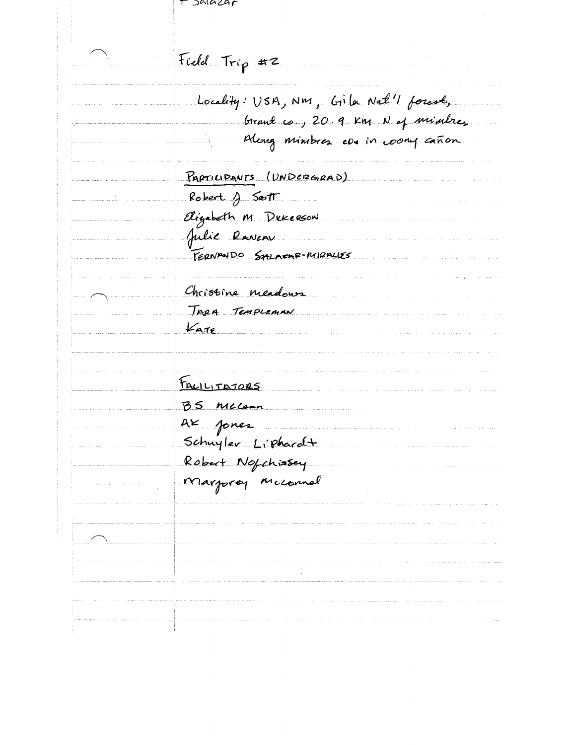| Jalazar                                                               |
|-----------------------------------------------------------------------|
| Field Trip #2                                                         |
| Locality: USA, NM, Gila Nat'l forest,                                 |
| birant co., 20.9 km N of minutes<br>Along minibres consin comy canon. |
| PARTICIPANTS (UNDERGRAD)                                              |
| Robert $\int$ Sott                                                    |
| Elizabeth M Dukesson                                                  |
| Julie Raveau                                                          |
| FERNANDO SALAEAR-MIRALLES                                             |
| Christine meadows                                                     |
| TARA TEMPLEMAN                                                        |
| $k$ ate                                                               |
|                                                                       |
| FALILITATORS                                                          |
| BS Miccan                                                             |
| AK fones                                                              |
| Schuyler Liphardt                                                     |
| Robert Notchissey                                                     |
| Marprey Miconnal                                                      |
|                                                                       |
|                                                                       |
|                                                                       |
|                                                                       |
|                                                                       |
|                                                                       |
|                                                                       |
|                                                                       |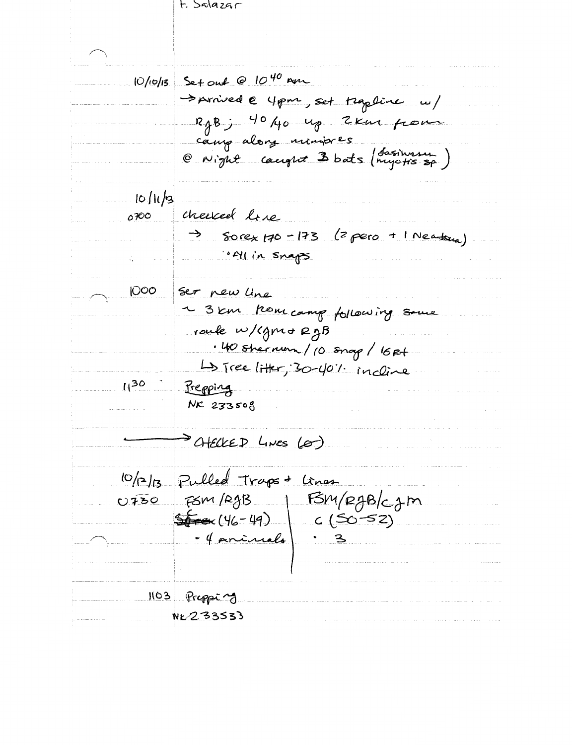## t. Salazar

 $10/10/15$  Set out @  $10^{40}$  am Sprived @ 4 pm, set trapline u/ RgBj 4040 up 2km pour cany alors numbres<br>@ Night caught 3 bats (rujotis sp.)  $10/11/3$ cherced live 0700 Sorex  $170 - 173$  (2 pero + 1 Neatora) → · MI in Snaps 1000 Ser new line ~ 3km kom camp following some route w/cgmo RgB . 40 shernon / 10 snap / 16 Rt La Tree litter, 30-40% incline  $11^{30}$ Prepping NK 233508 > CHECKED LINES (0) 10/2/13 Pulled Traps + Cines FSM/RgB | FSM/RgB/cgm  $OIFSO$ · 4 princels 1103 Prepping NK 233533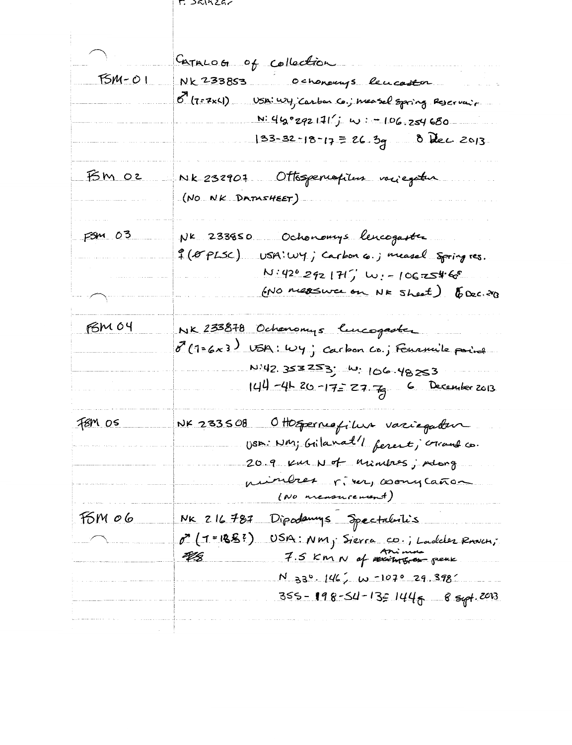r. sainzar

|                  | Caracog of collection                                                        |
|------------------|------------------------------------------------------------------------------|
| $FSM-O1$         | NK 233853 Ochonous leucastor                                                 |
|                  | 8 (7=7x4) USA: Wy Carbon Co.; Measel Spring Reservair                        |
|                  | $N: 46°292111'j$ w = 106.254680                                              |
|                  | $33-32-18-17 = 26.39$ 8 dec 2013                                             |
| <u>BM OZ</u>     | Nk 232907 Ottsgenispilus varjegatur                                          |
|                  | (NO NK DATASHEET)                                                            |
| $FSM$ 03         | NK 233850 Ochonomys lencogaster                                              |
|                  | of (OFPLSC) USA: Wy; Carbon 6.; measel spring res.                           |
|                  | $N:426292177.$ W: -106.254.65                                                |
| $\sum_{i=1}^{n}$ | (NO measure on NR Sheet) (Dec. 20)                                           |
| FSM 04           | NK 233878 Ochonomys lucogaster                                               |
|                  | 8 (1=6x3) USA: Wy; carbon Co.; Fournile point                                |
|                  | N:42 353253; W: 106.48253                                                    |
|                  | $144 - 462 - 17 = 27 - 6$ December 2013                                      |
| <u>F8M 05</u>    | NK 233508 Ottosperniafilus variegaten                                        |
|                  | USD: NM; Grilanat'l ferent; crand co.                                        |
|                  | 20.9 Km Not Minites; Along                                                   |
|                  | mindres river, comy caños<br>(NO measurement)                                |
| <u>Fom 06</u>    | NK 216 787 Dipademys Spectaluilis                                            |
|                  |                                                                              |
|                  | 0 (1=188?) USA: NM; Sierra CD.; Ladder Rowch;<br>4/8 7.5 Km N of accounts on |
|                  | $N$ 330. 146, W -1070 29 398                                                 |
|                  | 355 - 198-54-13 <u>5</u> 144 <sub>6</sub> - 8 syrt. 2013                     |
|                  |                                                                              |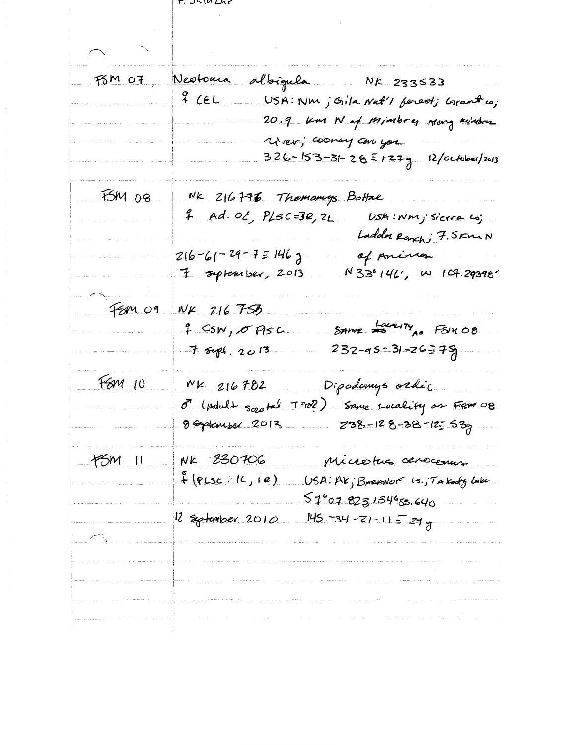T. UNIVERS

| FSM 07 Neotonia | albigula Nr 233533<br>$\mathcal{L}_{\mathcal{A}}$ and $\mathcal{L}_{\mathcal{A}}$ and $\mathcal{L}_{\mathcal{A}}$<br>USA: Nm ; Gila Nat'l ferest; Grant co;<br>20.9 Km N of Minibres wong minibas<br>Uner, coonay can you<br>326-153-31-28=127g 12/october/2013 |
|-----------------|-----------------------------------------------------------------------------------------------------------------------------------------------------------------------------------------------------------------------------------------------------------------|
| $FSM$ 08        | NK 216776 Thomomys Bottae<br>7. Ad. OC, PLSC=3R, 2L. USA:Nmj sicrra coj.<br>Ladder Ranch; 7. SKMN<br>$216 - 61 - 29 - 7 = 146$ J<br>of parinco<br>7 september, 2013<br>$N$ 33°146', w 107.29398'                                                                |
| $fsm$ 09        | NK 216 75B<br>SAME COUNTY AS FSM 08<br>f CSN, OASC<br>$232 - 95 - 31 - 26 = 75$<br>$7$ sept. 2013                                                                                                                                                               |
| F6M10           | Dipodomys ordi:<br>$NK$ 216782<br>T-02) Same Locality or Few 08<br>o (poult sootal<br>8 September 2013<br>238-128-38-125.53                                                                                                                                     |
| $f5M$ $I1$      | NK 230706<br>Microtus serecessus<br>$f$ (PLSC : 1L, 12)<br>USA: AK; BARANOF (s., TAKody Loke<br>$51°$ 07.823134 $^{\circ}$ 83.640<br>12 September 2010                                                                                                          |
|                 | $145 - 34 - 71 - 11 = 299$<br>the company of the company of the company of the company of the company of the company of the company of the company of the company of the company of the company of the company of the company of the company of the company     |

 $\mathcal{L}^{\text{max}}_{\text{max}}$